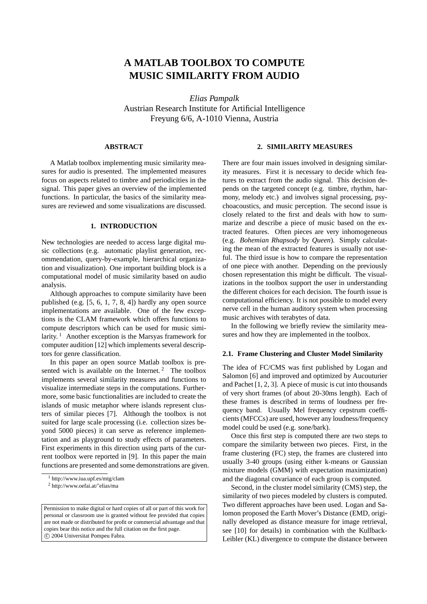# **A MATLAB TOOLBOX TO COMPUTE MUSIC SIMILARITY FROM AUDIO**

*Elias Pampalk* Austrian Research Institute for Artificial Intelligence Freyung 6/6, A-1010 Vienna, Austria

# **ABSTRACT**

A Matlab toolbox implementing music similarity measures for audio is presented. The implemented measures focus on aspects related to timbre and periodicities in the signal. This paper gives an overview of the implemented functions. In particular, the basics of the similarity measures are reviewed and some visualizations are discussed.

# **1. INTRODUCTION**

New technologies are needed to access large digital music collections (e.g. automatic playlist generation, recommendation, query-by-example, hierarchical organization and visualization). One important building block is a computational model of music similarity based on audio analysis.

Although approaches to compute similarity have been published (e.g. [5, 6, 1, 7, 8, 4]) hardly any open source implementations are available. One of the few exceptions is the CLAM framework which offers functions to compute descriptors which can be used for music similarity.<sup>1</sup> Another exception is the Marsyas framework for computer audition [12] which implements several descriptors for genre classification.

In this paper an open source Matlab toolbox is presented wich is available on the Internet.<sup>2</sup> The toolbox implements several similarity measures and functions to visualize intermediate steps in the computations. Furthermore, some basic functionalities are included to create the islands of music metaphor where islands represent clusters of similar pieces [7]. Although the toolbox is not suited for large scale processing (i.e. collection sizes beyond 5000 pieces) it can serve as reference implementation and as playground to study effects of parameters. First experiments in this direction using parts of the current toolbox were reported in [9]. In this paper the main functions are presented and some demonstrations are given.

### **2. SIMILARITY MEASURES**

There are four main issues involved in designing similarity measures. First it is necessary to decide which features to extract from the audio signal. This decision depends on the targeted concept (e.g. timbre, rhythm, harmony, melody etc.) and involves signal processing, psychoacoustics, and music perception. The second issue is closely related to the first and deals with how to summarize and describe a piece of music based on the extracted features. Often pieces are very inhomogeneous (e.g. *Bohemian Rhapsody* by *Queen*). Simply calculating the mean of the extracted features is usually not useful. The third issue is how to compare the representation of one piece with another. Depending on the previously chosen representation this might be difficult. The visualizations in the toolbox support the user in understanding the different choices for each decision. The fourth issue is computational efficiency. It is not possible to model every nerve cell in the human auditory system when processing music archives with terabytes of data.

In the following we briefly review the similarity measures and how they are implemented in the toolbox.

## **2.1. Frame Clustering and Cluster Model Similarity**

The idea of FC/CMS was first published by Logan and Salomon [6] and improved and optimized by Aucouturier and Pachet [1, 2, 3]. A piece of music is cut into thousands of very short frames (of about 20-30ms length). Each of these frames is described in terms of loudness per frequency band. Usually Mel frequency cepstrum coefficients (MFCCs) are used, however any loudness/frequency model could be used (e.g. sone/bark).

Once this first step is computed there are two steps to compare the similarity between two pieces. First, in the frame clustering (FC) step, the frames are clustered into usually 3-40 groups (using either k-means or Gaussian mixture models (GMM) with expectation maximization) and the diagonal covariance of each group is computed.

Second, in the cluster model similarity (CMS) step, the similarity of two pieces modeled by clusters is computed. Two different approaches have been used. Logan and Salomon proposed the Earth Mover's Distance (EMD, originally developed as distance measure for image retrieval, see [10] for details) in combination with the Kullback-Leibler (KL) divergence to compute the distance between

<sup>1</sup> http://www.iua.upf.es/mtg/clam

<sup>2</sup> http://www.oefai.at/˜elias/ma

Permission to make digital or hard copies of all or part of this work for personal or classroom use is granted without fee provided that copies are not made or distributed for profit or commercial advantage and that copies bear this notice and the full citation on the first page. °c 2004 Universitat Pompeu Fabra.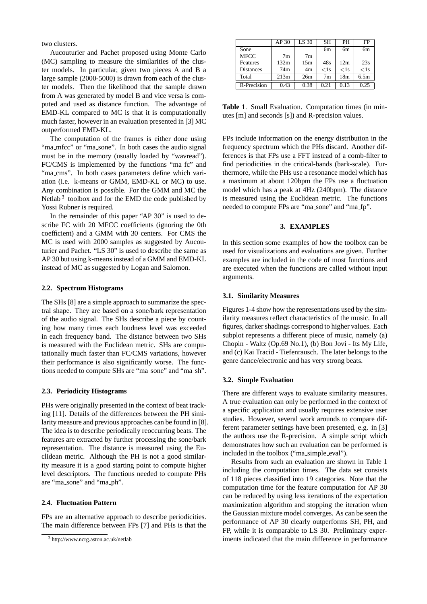two clusters.

Aucouturier and Pachet proposed using Monte Carlo (MC) sampling to measure the similarities of the cluster models. In particular, given two pieces A and B a large sample (2000-5000) is drawn from each of the cluster models. Then the likelihood that the sample drawn from A was generated by model B and vice versa is computed and used as distance function. The advantage of EMD-KL compared to MC is that it is computationally much faster, however in an evaluation presented in [3] MC outperformed EMD-KL.

The computation of the frames is either done using "ma\_mfcc" or "ma\_sone". In both cases the audio signal must be in the memory (usually loaded by "wavread"). FC/CMS is implemented by the functions "ma fc" and "ma\_cms". In both cases parameters define which variation (i.e. k-means or GMM, EMD-KL or MC) to use. Any combination is possible. For the GMM and MC the Netlab<sup>3</sup> toolbox and for the EMD the code published by Yossi Rubner is required.

In the remainder of this paper "AP 30" is used to describe FC with 20 MFCC coefficients (ignoring the 0th coefficient) and a GMM with 30 centers. For CMS the MC is used with 2000 samples as suggested by Aucouturier and Pachet. "LS 30" is used to describe the same as AP 30 but using k-means instead of a GMM and EMD-KL instead of MC as suggested by Logan and Salomon.

# **2.2. Spectrum Histograms**

The SHs [8] are a simple approach to summarize the spectral shape. They are based on a sone/bark representation of the audio signal. The SHs describe a piece by counting how many times each loudness level was exceeded in each frequency band. The distance between two SHs is measured with the Euclidean metric. SHs are computationally much faster than FC/CMS variations, however their performance is also significantly worse. The functions needed to compute SHs are "ma sone" and "ma sh".

## **2.3. Periodicity Histograms**

PHs were originally presented in the context of beat tracking [11]. Details of the differences between the PH similarity measure and previous approaches can be found in [8]. The idea is to describe periodically reoccurring beats. The features are extracted by further processing the sone/bark representation. The distance is measured using the Euclidean metric. Although the PH is not a good similarity measure it is a good starting point to compute higher level descriptors. The functions needed to compute PHs are "ma sone" and "ma ph".

## **2.4. Fluctuation Pattern**

FPs are an alternative approach to describe periodicities. The main difference between FPs [7] and PHs is that the

|                  | AP 30          | LS 30          | <b>SH</b> | PН      | FP     |
|------------------|----------------|----------------|-----------|---------|--------|
| Sone             |                |                | 6m        | 6m      | 6m     |
| <b>MFCC</b>      | 7 <sub>m</sub> | 7 <sub>m</sub> |           |         |        |
| Features         | 132m           | 15m            | 48s       | 12m     | 23s    |
| <b>Distances</b> | 74m            | 4m             | $<$ 1s    | $<$ 1 s | $<$ 1s |
| Total            | 213m           | 26m            | 7m        | 18m     | 6.5m   |
| R-Precision      | 0.43           | 0.38           | 0.21      | 0.13    | 0.25   |

**Table 1**. Small Evaluation. Computation times (in minutes [m] and seconds [s]) and R-precision values.

FPs include information on the energy distribution in the frequency spectrum which the PHs discard. Another differences is that FPs use a FFT instead of a comb-filter to find periodicities in the critical-bands (bark-scale). Furthermore, while the PHs use a resonance model which has a maximum at about 120bpm the FPs use a fluctuation model which has a peak at 4Hz (240bpm). The distance is measured using the Euclidean metric. The functions needed to compute FPs are "ma sone" and "ma fp".

# **3. EXAMPLES**

In this section some examples of how the toolbox can be used for visualizations and evaluations are given. Further examples are included in the code of most functions and are executed when the functions are called without input arguments.

### **3.1. Similarity Measures**

Figures 1-4 show how the representations used by the similarity measures reflect characteristics of the music. In all figures, darker shadings correspond to higher values. Each subplot represents a different piece of music, namely (a) Chopin - Waltz (Op.69 No.1), (b) Bon Jovi - Its My Life, and (c) Kai Tracid - Tiefenrausch. The later belongs to the genre dance/electronic and has very strong beats.

### **3.2. Simple Evaluation**

There are different ways to evaluate similarity measures. A true evaluation can only be performed in the context of a specific application and usually requires extensive user studies. However, several work arounds to compare different parameter settings have been presented, e.g. in [3] the authors use the R-precision. A simple script which demonstrates how such an evaluation can be performed is included in the toolbox ("ma simple eval").

Results from such an evaluation are shown in Table 1 including the computation times. The data set consists of 118 pieces classified into 19 categories. Note that the computation time for the feature computation for AP 30 can be reduced by using less iterations of the expectation maximization algorithm and stopping the iteration when the Gaussian mixture model converges. As can be seen the performance of AP 30 clearly outperforms SH, PH, and FP, while it is comparable to LS 30. Preliminary experiments indicated that the main difference in performance

<sup>3</sup> http://www.ncrg.aston.ac.uk/netlab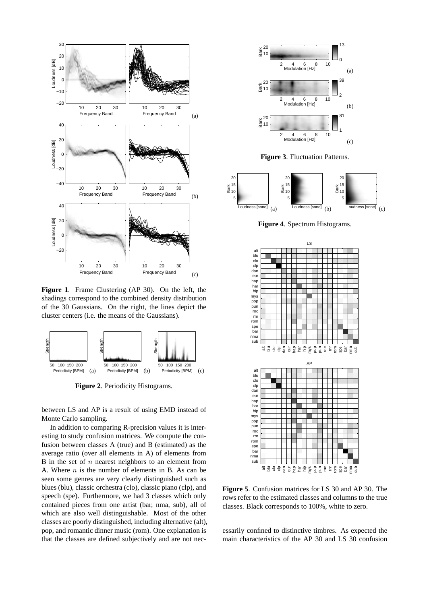

**Figure 1**. Frame Clustering (AP 30). On the left, the shadings correspond to the combined density distribution of the 30 Gaussians. On the right, the lines depict the cluster centers (i.e. the means of the Gaussians).



**Figure 2**. Periodicity Histograms.

between LS and AP is a result of using EMD instead of Monte Carlo sampling.

In addition to comparing R-precision values it is interesting to study confusion matrices. We compute the confusion between classes A (true) and B (estimated) as the average ratio (over all elements in A) of elements from B in the set of  $n$  nearest neighbors to an element from A. Where  $n$  is the number of elements in B. As can be seen some genres are very clearly distinguished such as blues (blu), classic orchestra (clo), classic piano (clp), and speech (spe). Furthermore, we had 3 classes which only contained pieces from one artist (bar, nma, sub), all of which are also well distinguishable. Most of the other classes are poorly distinguished, including alternative (alt), pop, and romantic dinner music (rom). One explanation is that the classes are defined subjectively and are not nec-



**Figure 5**. Confusion matrices for LS 30 and AP 30. The rows refer to the estimated classes and columns to the true classes. Black corresponds to 100%, white to zero.

essarily confined to distinctive timbres. As expected the main characteristics of the AP 30 and LS 30 confusion